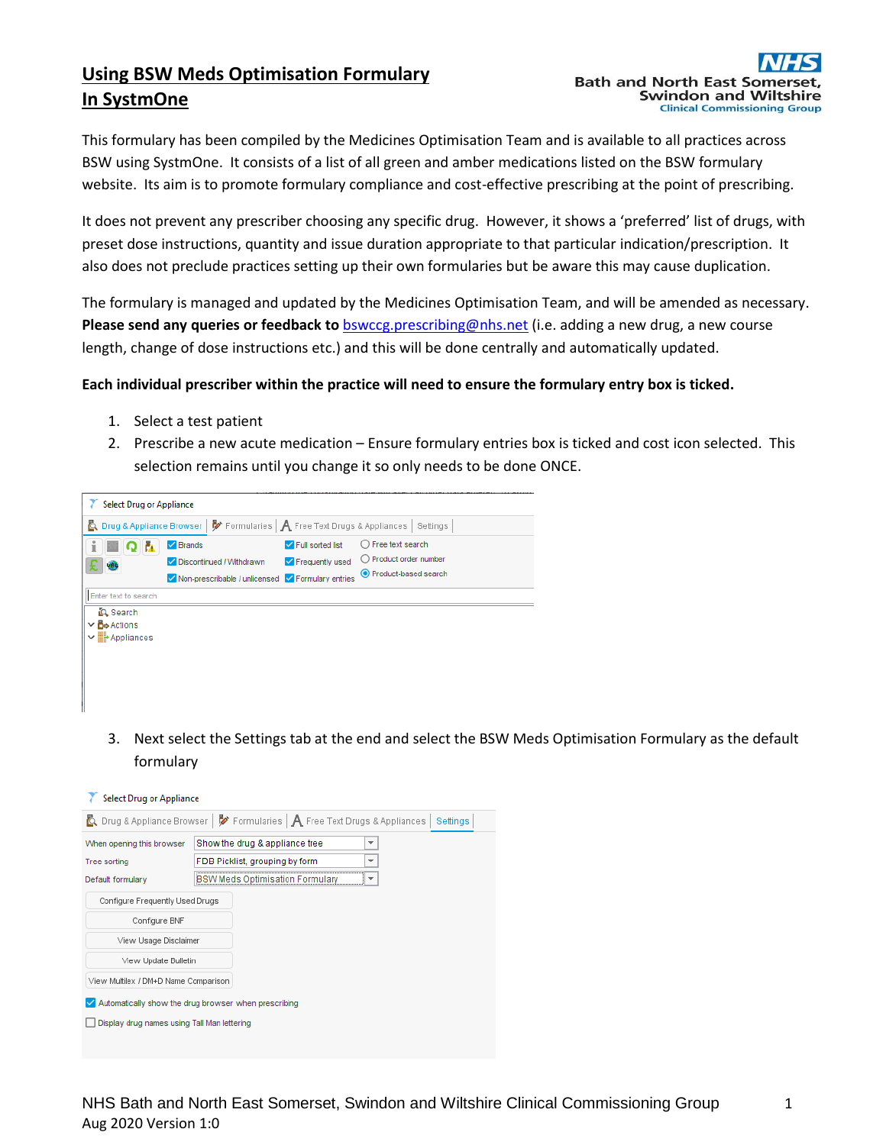# **Using BSW Meds Optimisation Formulary In SystmOne**

This formulary has been compiled by the Medicines Optimisation Team and is available to all practices across BSW using SystmOne. It consists of a list of all green and amber medications listed on the BSW formulary website. Its aim is to promote formulary compliance and cost-effective prescribing at the point of prescribing.

It does not prevent any prescriber choosing any specific drug. However, it shows a 'preferred' list of drugs, with preset dose instructions, quantity and issue duration appropriate to that particular indication/prescription. It also does not preclude practices setting up their own formularies but be aware this may cause duplication.

The formulary is managed and updated by the Medicines Optimisation Team, and will be amended as necessary. **Please send any queries or feedback to** [bswccg.prescribing@nhs.net](mailto:bswccg.prescribing@nhs.net) (i.e. adding a new drug, a new course length, change of dose instructions etc.) and this will be done centrally and automatically updated.

### **Each individual prescriber within the practice will need to ensure the formulary entry box is ticked.**

- 1. Select a test patient
- 2. Prescribe a new acute medication Ensure formulary entries box is ticked and cost icon selected. This selection remains until you change it so only needs to be done ONCE.



3. Next select the Settings tab at the end and select the BSW Meds Optimisation Formulary as the default formulary